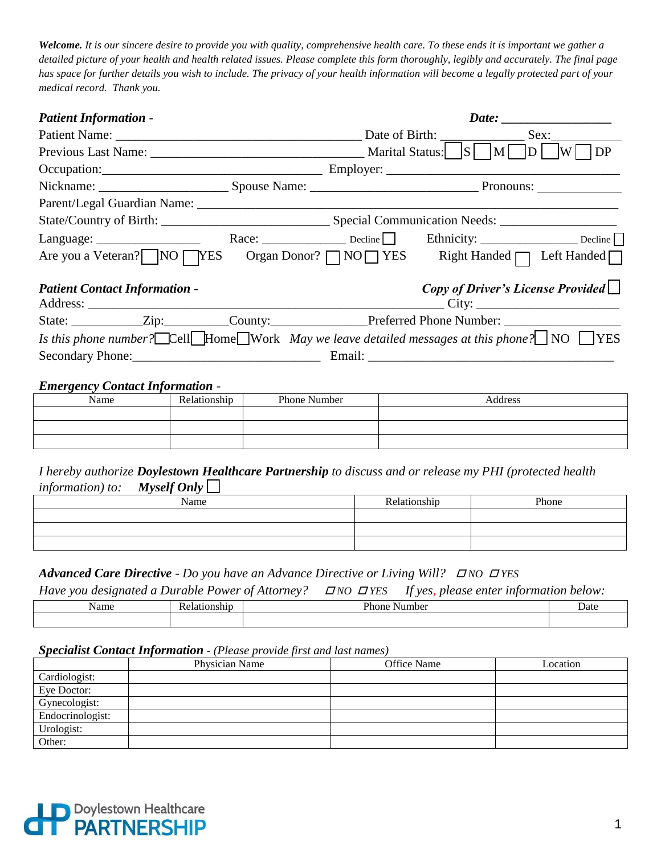*Welcome. It is our sincere desire to provide you with quality, comprehensive health care. To these ends it is important we gather a detailed picture of your health and health related issues. Please complete this form thoroughly, legibly and accurately. The final page has space for further details you wish to include. The privacy of your health information will become a legally protected part of your medical record. Thank you.*

| <b>Patient Information -</b>                                                                                                                                                                                                                                                                                                  |  |    |  |                                          |  |
|-------------------------------------------------------------------------------------------------------------------------------------------------------------------------------------------------------------------------------------------------------------------------------------------------------------------------------|--|----|--|------------------------------------------|--|
|                                                                                                                                                                                                                                                                                                                               |  |    |  | Sex:                                     |  |
|                                                                                                                                                                                                                                                                                                                               |  | DP |  |                                          |  |
| Occupation: Contact Contact Contact Contact Contact Contact Contact Contact Contact Contact Contact Contact Contact Contact Contact Contact Contact Contact Contact Contact Contact Contact Contact Contact Contact Contact Co                                                                                                |  |    |  |                                          |  |
|                                                                                                                                                                                                                                                                                                                               |  |    |  |                                          |  |
|                                                                                                                                                                                                                                                                                                                               |  |    |  |                                          |  |
|                                                                                                                                                                                                                                                                                                                               |  |    |  |                                          |  |
| Language: $\frac{1}{2}$                                                                                                                                                                                                                                                                                                       |  |    |  |                                          |  |
| Are you a Veteran? NO TYES Organ Donor? TNO TYES Right Handed TLeft Handed T                                                                                                                                                                                                                                                  |  |    |  |                                          |  |
| <b>Patient Contact Information -</b>                                                                                                                                                                                                                                                                                          |  |    |  | Copy of Driver's License Provided $\Box$ |  |
|                                                                                                                                                                                                                                                                                                                               |  |    |  |                                          |  |
| State: _____________Zip:___________County: ___________________Preferred Phone Number: _______________________                                                                                                                                                                                                                 |  |    |  |                                          |  |
| Is this phone number? $\Box$ Cell $\Box$ Home $\Box$ Work May we leave detailed messages at this phone? $\Box$ NO $\Box$ YES                                                                                                                                                                                                  |  |    |  |                                          |  |
|                                                                                                                                                                                                                                                                                                                               |  |    |  |                                          |  |
| $E$ and $\alpha$ and $\alpha$ and $\alpha$ and $\alpha$ and $\alpha$ and $\alpha$ and $\alpha$ and $\alpha$ and $\alpha$ and $\alpha$ and $\alpha$ and $\alpha$ and $\alpha$ and $\alpha$ and $\alpha$ and $\alpha$ and $\alpha$ and $\alpha$ and $\alpha$ and $\alpha$ and $\alpha$ and $\alpha$ and $\alpha$ and $\alpha$ a |  |    |  |                                          |  |

# *Emergency Contact Information -* Name Relationship Phone Number 2012 19:30 Address

*I hereby authorize Doylestown Healthcare Partnership to discuss and or release my PHI (protected health information)* to: *Myself Only* 

| Name | Relationship | Phone |
|------|--------------|-------|
|      |              |       |
|      |              |       |
|      |              |       |

# *Advanced Care Directive - Do you have an Advance Directive or Living Will?*  $\Box$  NO  $\Box$  YES

*Have you designated a Durable Power of Attorney?*  $\Box$  *NO*  $\Box$  *YES If yes, please enter information below:* 

| vame | $D_{max}$<br>10<br>m<br>חר | Jate |
|------|----------------------------|------|
|      |                            |      |

# *Specialist Contact Information* - *(Please provide first and last names)*

|                  | Physician Name | Office Name | Location |
|------------------|----------------|-------------|----------|
| Cardiologist:    |                |             |          |
| Eye Doctor:      |                |             |          |
| Gynecologist:    |                |             |          |
| Endocrinologist: |                |             |          |
| Urologist:       |                |             |          |
| Other:           |                |             |          |

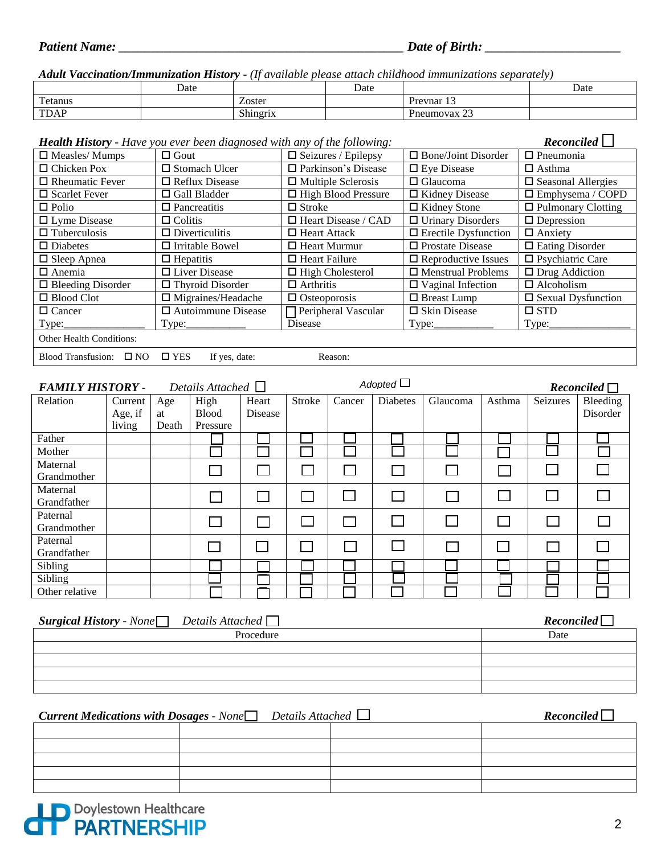*Adult Vaccination/Immunization History - (If available please attach childhood immunizations separately)*

|                          | Date |                           | Date |                                          | Date |
|--------------------------|------|---------------------------|------|------------------------------------------|------|
| $\mathbf{r}$<br>l'etanus |      | Zoster                    |      | $\sim$<br>Prevnar 1.                     |      |
| <b>TDAP</b>              |      | $\sim$ $\sim$<br>Shingrix |      | $\sim$<br><b>P</b> Preumovax $2\epsilon$ |      |

| <b>Health History</b> - Have you ever been diagnosed with any of the following: | Reconciled                     |                            |                             |                              |
|---------------------------------------------------------------------------------|--------------------------------|----------------------------|-----------------------------|------------------------------|
| $\Box$ Measles/ Mumps                                                           | $\Box$ Gout                    | $\Box$ Seizures / Epilepsy | $\Box$ Bone/Joint Disorder  | $\Box$ Pneumonia             |
| $\Box$ Chicken Pox                                                              | $\Box$ Stomach Ulcer           | □ Parkinson's Disease      | $\Box$ Eye Disease          | $\Box$ Asthma                |
| $\Box$ Rheumatic Fever                                                          | $\Box$ Reflux Disease          | $\Box$ Multiple Sclerosis  | $\Box$ Glaucoma             | $\Box$ Seasonal Allergies    |
| $\Box$ Scarlet Fever                                                            | $\Box$ Gall Bladder            | $\Box$ High Blood Pressure | $\Box$ Kidney Disease       | $\Box$ Emphysema / COPD      |
| $\Box$ Polio                                                                    | $\Box$ Pancreatitis            | $\Box$ Stroke              | $\Box$ Kidney Stone         | $\Box$ Pulmonary Clotting    |
| $\Box$ Lyme Disease                                                             | $\Box$ Colitis                 | $\Box$ Heart Disease / CAD | $\Box$ Urinary Disorders    | $\Box$ Depression            |
| $\Box$ Tuberculosis                                                             | $\Box$ Diverticulitis          | $\Box$ Heart Attack        | $\Box$ Erectile Dysfunction | $\Box$ Anxiety               |
| $\Box$ Diabetes                                                                 | $\Box$ Irritable Bowel         | $\Box$ Heart Murmur        | $\Box$ Prostate Disease     | $\Box$ Eating Disorder       |
| $\Box$ Sleep Apnea                                                              | $\Box$ Hepatitis               | $\Box$ Heart Failure       | $\Box$ Reproductive Issues  | $\square$ Psychiatric Care   |
| $\Box$ Anemia                                                                   | $\Box$ Liver Disease           | $\Box$ High Cholesterol    | $\Box$ Menstrual Problems   | $\Box$ Drug Addiction        |
| $\Box$ Bleeding Disorder                                                        | $\Box$ Thyroid Disorder        | $\Box$ Arthritis           | $\Box$ Vaginal Infection    | $\Box$ Alcoholism            |
| $\Box$ Blood Clot                                                               | $\Box$ Migraines/Headache      | $\Box$ Osteoporosis        | $\Box$ Breast Lump          | $\square$ Sexual Dysfunction |
| $\Box$ Cancer                                                                   | $\Box$ Autoimmune Disease      | $\Box$ Peripheral Vascular | $\square$ Skin Disease      | $\square$ STD                |
| Type:                                                                           | Type:                          | <b>D</b> isease            |                             | Type:                        |
| <b>Other Health Conditions:</b>                                                 |                                |                            |                             |                              |
| Blood Transfusion: $\square$ NO                                                 | $\square$ YES<br>If yes, date: | Reason:                    |                             |                              |

| <b>FAMILY HISTORY -</b> |         |       | Details Attached $\Box$ |         |                |        | Adopted $\Box$  |          |        |          | Reconciled |
|-------------------------|---------|-------|-------------------------|---------|----------------|--------|-----------------|----------|--------|----------|------------|
| Relation                | Current | Age   | High                    | Heart   | Stroke         | Cancer | <b>Diabetes</b> | Glaucoma | Asthma | Seizures | Bleeding   |
|                         | Age, if | at    | <b>Blood</b>            | Disease |                |        |                 |          |        |          | Disorder   |
|                         | living  | Death | Pressure                |         |                |        |                 |          |        |          |            |
| Father                  |         |       |                         |         |                |        |                 |          |        |          |            |
| Mother                  |         |       |                         |         |                |        |                 |          |        |          |            |
| Maternal                |         |       |                         |         |                |        |                 |          |        |          |            |
| Grandmother             |         |       |                         |         |                |        |                 |          |        |          |            |
| Maternal                |         |       |                         |         |                |        |                 | $\Box$   |        |          |            |
| Grandfather             |         |       |                         |         |                |        |                 |          |        |          |            |
| Paternal                |         |       |                         |         |                |        |                 |          |        |          |            |
| Grandmother             |         |       |                         |         |                |        |                 |          |        |          |            |
| Paternal                |         |       |                         |         | $\mathbb{R}^n$ |        |                 |          |        |          |            |
| Grandfather             |         |       |                         |         |                |        |                 |          |        |          |            |
| Sibling                 |         |       |                         |         |                |        |                 |          |        |          |            |
| Sibling                 |         |       |                         |         |                |        |                 |          |        |          |            |
| Other relative          |         |       |                         |         |                |        |                 |          |        |          |            |

| <b>Surgical History</b> - None $\Box$ Details Attached $\Box$ | Reconciled |
|---------------------------------------------------------------|------------|
| Procedure                                                     | Date       |
|                                                               |            |
|                                                               |            |
|                                                               |            |
|                                                               |            |

| <b>Current Medications with Dosages - None</b> Details Attached $\Box$ | Reconciled |  |
|------------------------------------------------------------------------|------------|--|
|                                                                        |            |  |
|                                                                        |            |  |
|                                                                        |            |  |
|                                                                        |            |  |
|                                                                        |            |  |

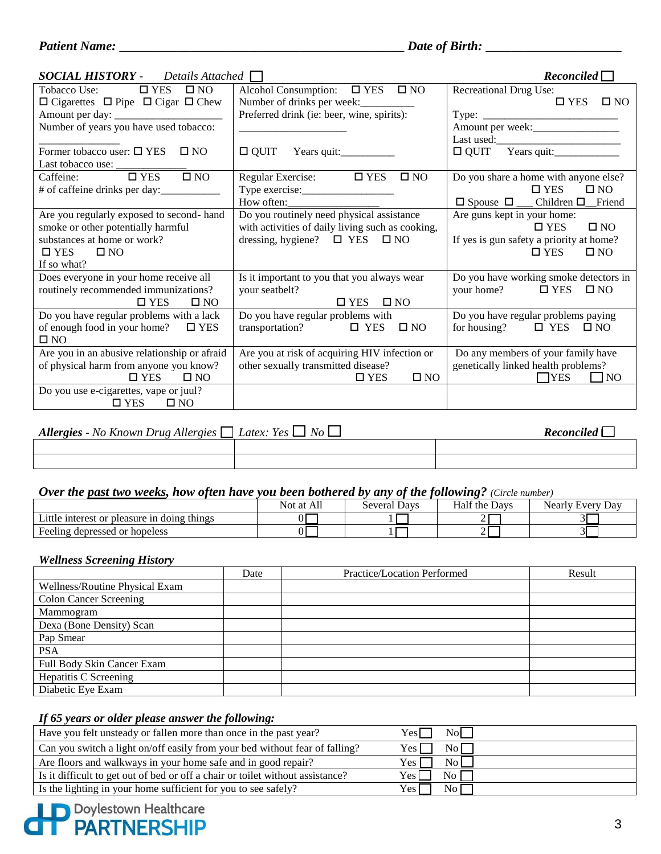| <b>SOCIAL HISTORY</b> - Details Attached $\Box$                                                                                                      |                                                                                                                                          | Reconciled                                                                                                                                |
|------------------------------------------------------------------------------------------------------------------------------------------------------|------------------------------------------------------------------------------------------------------------------------------------------|-------------------------------------------------------------------------------------------------------------------------------------------|
| $\Box$ YES $\Box$ NO<br>Tobacco Use:<br>$\Box$ Cigarettes $\Box$ Pipe $\Box$ Cigar $\Box$ Chew                                                       | Alcohol Consumption: $\Box$ YES $\Box$ NO<br>Number of drinks per week:<br>Preferred drink (ie: beer, wine, spirits):                    | Recreational Drug Use:<br>$\Box$ YES $\Box$ NO                                                                                            |
| Number of years you have used tobacco:                                                                                                               |                                                                                                                                          | Amount per week:                                                                                                                          |
| Former tobacco user: $\square$ YES<br>$\Box$ NO                                                                                                      | $\Box$ QUIT                                                                                                                              | $\Box$ QUIT Years quit:                                                                                                                   |
| $\square$ NO                                                                                                                                         | Regular Exercise: $\Box$ YES<br>$\square$ NO<br>$How often: \_\_\_\_\_\_\_\_$                                                            | Do you share a home with anyone else?<br>$\Box$ YES $\Box$ NO                                                                             |
| Are you regularly exposed to second-hand<br>smoke or other potentially harmful<br>substances at home or work?<br>$\Box$ YES $\Box$ NO<br>If so what? | Do you routinely need physical assistance<br>with activities of daily living such as cooking,<br>dressing, hygiene? $\Box$ YES $\Box$ NO | Are guns kept in your home:<br>$\square$ NO<br>$\square$ YES<br>If yes is gun safety a priority at home?<br>$\square$ NO<br>$\square$ YES |
| Does everyone in your home receive all<br>routinely recommended immunizations?<br>$\square$ YES<br>$\square$ NO                                      | Is it important to you that you always wear<br>your seatbelt?<br>$\Box$ YES $\Box$ NO                                                    | Do you have working smoke detectors in<br>your home? $\Box$ YES $\Box$ NO                                                                 |
| Do you have regular problems with a lack<br>of enough food in your home? $\Box$ YES<br>$\square$ NO                                                  | Do you have regular problems with<br>transportation? $\Box$ YES<br>$\square$ NO                                                          | Do you have regular problems paying<br>for housing? $\Box$ YES $\Box$ NO                                                                  |
| Are you in an abusive relationship or afraid<br>of physical harm from anyone you know?<br>$\square$ YES<br>$\square$ NO                              | Are you at risk of acquiring HIV infection or<br>other sexually transmitted disease?<br>$\square$ NO<br>$\square$ YES                    | Do any members of your family have<br>genetically linked health problems?<br>$\Box$ YES<br>$\blacksquare$ NO                              |
| Do you use e-cigarettes, vape or juul?<br>$\Box$ YES $\Box$ NO                                                                                       |                                                                                                                                          |                                                                                                                                           |

| Allergies - No Known Drug Allergies $\Box$ Latex: Yes $\Box$ No $\Box$ | Reconciled |  |
|------------------------------------------------------------------------|------------|--|
|                                                                        |            |  |
|                                                                        |            |  |

# *Over the past two weeks, how often have you been bothered by any of the following? (Circle number)*

|                                             | Not at All | Several Davs | Half the<br>Davs | Dav<br>Nearly Every |
|---------------------------------------------|------------|--------------|------------------|---------------------|
| Little interest or pleasure in doing things |            |              |                  |                     |
| Feeling depressed or hopeless               |            |              | -                | <u> 1</u><br>ЭL     |

### *Wellness Screening History*

|                                | Date | Practice/Location Performed | Result |
|--------------------------------|------|-----------------------------|--------|
| Wellness/Routine Physical Exam |      |                             |        |
| <b>Colon Cancer Screening</b>  |      |                             |        |
| Mammogram                      |      |                             |        |
| Dexa (Bone Density) Scan       |      |                             |        |
| Pap Smear                      |      |                             |        |
| <b>PSA</b>                     |      |                             |        |
| Full Body Skin Cancer Exam     |      |                             |        |
| Hepatitis C Screening          |      |                             |        |
| Diabetic Eye Exam              |      |                             |        |

# *If 65 years or older please answer the following:*

| Have you felt unsteady or fallen more than once in the past year?              | $\overline{N}$ No $\overline{N}$<br>Yesl |
|--------------------------------------------------------------------------------|------------------------------------------|
| Can you switch a light on/off easily from your bed without fear of falling?    | No<br>Yes l                              |
| Are floors and walkways in your home safe and in good repair?                  | $\overline{N_{0}}$<br>Yes                |
| Is it difficult to get out of bed or off a chair or toilet without assistance? | No $\Gamma$<br>Yes                       |
| Is the lighting in your home sufficient for you to see safely?                 | No I<br>Yes l                            |